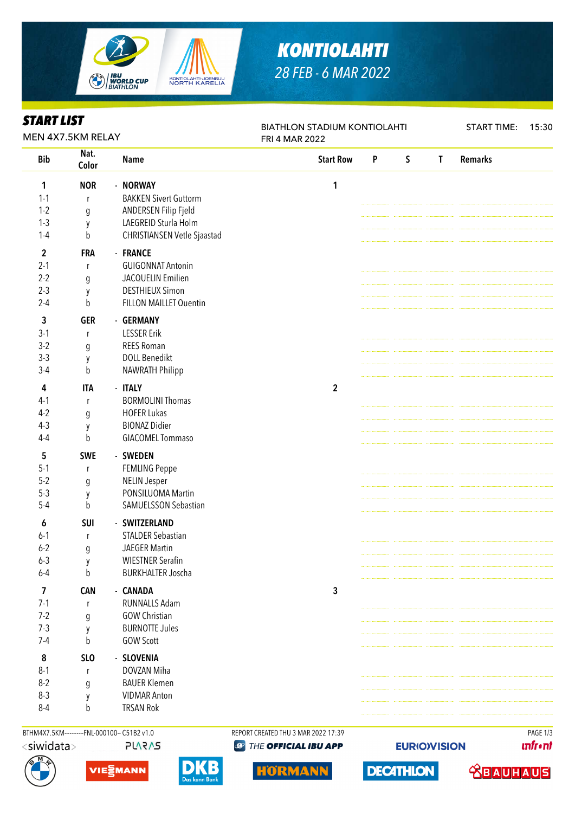

# *KONTIOLAHTI 28 FEB - 6 MAR 2022*

| MEN 4X7.5KM RELAY<br>FRI 4 MAR 2022<br>Nat.<br><b>Remarks</b><br><b>Bib</b><br><b>Start Row</b><br>P<br>$\mathsf S$<br>$\mathsf{T}$<br><b>Name</b><br>Color<br><b>NOR</b><br>- NORWAY<br>1<br>1<br><b>BAKKEN Sivert Guttorm</b><br>$1 - 1$<br>r<br>$1-2$<br>ANDERSEN Filip Fjeld<br>g<br>LAEGREID Sturla Holm<br>$1-3$<br>у<br><b>CHRISTIANSEN Vetle Sjaastad</b><br>$1-4$<br>b<br>$\mathbf{2}$<br><b>FRA</b><br>- FRANCE<br>$2 - 1$<br><b>GUIGONNAT Antonin</b><br>$\mathsf{r}$<br>$2 - 2$<br>JACQUELIN Emilien<br>$\mathfrak g$<br>$2-3$<br><b>DESTHIEUX Simon</b><br>у<br>FILLON MAILLET Quentin<br>$2 - 4$<br>b<br>3<br><b>GER</b><br>- GERMANY<br>$3-1$<br><b>LESSER Erik</b><br>$\mathsf{r}$<br>$3-2$<br><b>REES Roman</b><br>g<br>$3-3$<br><b>DOLL Benedikt</b><br>y<br>NAWRATH Philipp<br>b<br>$3-4$<br><b>ITA</b><br>- ITALY<br>$\mathbf{2}$<br>4<br><b>BORMOLINI Thomas</b><br>$4-1$<br>$\mathsf{r}$<br>$4-2$<br><b>HOFER Lukas</b><br>$\mathfrak g$<br><b>BIONAZ Didier</b><br>$4-3$<br>y<br><b>GIACOMEL Tommaso</b><br>$4 - 4$<br>b<br>5<br><b>SWE</b><br>- SWEDEN<br>$5-1$<br><b>FEMLING Peppe</b><br>r<br>$5 - 2$<br><b>NELIN Jesper</b><br>$\boldsymbol{g}$<br>$5-3$<br>PONSILUOMA Martin<br>y<br>SAMUELSSON Sebastian<br>$5-4$<br>b<br>- SWITZERLAND<br>6<br>SUI<br><b>STALDER Sebastian</b><br>$6 - 1$<br>r<br>$6 - 2$<br>$\boldsymbol{g}$<br><b>JAEGER Martin</b><br>$6 - 3$<br><b>WIESTNER Serafin</b><br>y<br><b>BURKHALTER Joscha</b><br>$6 - 4$<br>b<br>3<br>$\overline{\mathbf{z}}$<br><b>CAN</b><br>- CANADA<br>$7-1$<br><b>RUNNALLS Adam</b><br>r<br>$7 - 2$<br><b>GOW Christian</b><br>g<br>$7-3$<br><b>BURNOTTE Jules</b><br>y<br>$7-4$<br>b<br><b>GOW Scott</b><br>8<br><b>SLO</b><br>- SLOVENIA<br>DOVZAN Miha<br>$8 - 1$<br>r<br>$8-2$<br><b>BAUER Klemen</b><br>g<br>$8-3$<br><b>VIDMAR Anton</b><br>y<br><b>TRSAN Rok</b><br>$8 - 4$<br>b | <b>START LIST</b> |  |  | <b>BIATHLON STADIUM KONTIOLAHTI</b> | <b>START TIME:</b> | 15:30 |  |  |  |
|---------------------------------------------------------------------------------------------------------------------------------------------------------------------------------------------------------------------------------------------------------------------------------------------------------------------------------------------------------------------------------------------------------------------------------------------------------------------------------------------------------------------------------------------------------------------------------------------------------------------------------------------------------------------------------------------------------------------------------------------------------------------------------------------------------------------------------------------------------------------------------------------------------------------------------------------------------------------------------------------------------------------------------------------------------------------------------------------------------------------------------------------------------------------------------------------------------------------------------------------------------------------------------------------------------------------------------------------------------------------------------------------------------------------------------------------------------------------------------------------------------------------------------------------------------------------------------------------------------------------------------------------------------------------------------------------------------------------------------------------------------------------------------------------------------------------------------------------------------------------------|-------------------|--|--|-------------------------------------|--------------------|-------|--|--|--|
|                                                                                                                                                                                                                                                                                                                                                                                                                                                                                                                                                                                                                                                                                                                                                                                                                                                                                                                                                                                                                                                                                                                                                                                                                                                                                                                                                                                                                                                                                                                                                                                                                                                                                                                                                                                                                                                                           |                   |  |  |                                     |                    |       |  |  |  |
|                                                                                                                                                                                                                                                                                                                                                                                                                                                                                                                                                                                                                                                                                                                                                                                                                                                                                                                                                                                                                                                                                                                                                                                                                                                                                                                                                                                                                                                                                                                                                                                                                                                                                                                                                                                                                                                                           |                   |  |  |                                     |                    |       |  |  |  |
|                                                                                                                                                                                                                                                                                                                                                                                                                                                                                                                                                                                                                                                                                                                                                                                                                                                                                                                                                                                                                                                                                                                                                                                                                                                                                                                                                                                                                                                                                                                                                                                                                                                                                                                                                                                                                                                                           |                   |  |  |                                     |                    |       |  |  |  |
|                                                                                                                                                                                                                                                                                                                                                                                                                                                                                                                                                                                                                                                                                                                                                                                                                                                                                                                                                                                                                                                                                                                                                                                                                                                                                                                                                                                                                                                                                                                                                                                                                                                                                                                                                                                                                                                                           |                   |  |  |                                     |                    |       |  |  |  |
|                                                                                                                                                                                                                                                                                                                                                                                                                                                                                                                                                                                                                                                                                                                                                                                                                                                                                                                                                                                                                                                                                                                                                                                                                                                                                                                                                                                                                                                                                                                                                                                                                                                                                                                                                                                                                                                                           |                   |  |  |                                     |                    |       |  |  |  |
|                                                                                                                                                                                                                                                                                                                                                                                                                                                                                                                                                                                                                                                                                                                                                                                                                                                                                                                                                                                                                                                                                                                                                                                                                                                                                                                                                                                                                                                                                                                                                                                                                                                                                                                                                                                                                                                                           |                   |  |  |                                     |                    |       |  |  |  |
|                                                                                                                                                                                                                                                                                                                                                                                                                                                                                                                                                                                                                                                                                                                                                                                                                                                                                                                                                                                                                                                                                                                                                                                                                                                                                                                                                                                                                                                                                                                                                                                                                                                                                                                                                                                                                                                                           |                   |  |  |                                     |                    |       |  |  |  |
|                                                                                                                                                                                                                                                                                                                                                                                                                                                                                                                                                                                                                                                                                                                                                                                                                                                                                                                                                                                                                                                                                                                                                                                                                                                                                                                                                                                                                                                                                                                                                                                                                                                                                                                                                                                                                                                                           |                   |  |  |                                     |                    |       |  |  |  |
|                                                                                                                                                                                                                                                                                                                                                                                                                                                                                                                                                                                                                                                                                                                                                                                                                                                                                                                                                                                                                                                                                                                                                                                                                                                                                                                                                                                                                                                                                                                                                                                                                                                                                                                                                                                                                                                                           |                   |  |  |                                     |                    |       |  |  |  |
|                                                                                                                                                                                                                                                                                                                                                                                                                                                                                                                                                                                                                                                                                                                                                                                                                                                                                                                                                                                                                                                                                                                                                                                                                                                                                                                                                                                                                                                                                                                                                                                                                                                                                                                                                                                                                                                                           |                   |  |  |                                     |                    |       |  |  |  |
|                                                                                                                                                                                                                                                                                                                                                                                                                                                                                                                                                                                                                                                                                                                                                                                                                                                                                                                                                                                                                                                                                                                                                                                                                                                                                                                                                                                                                                                                                                                                                                                                                                                                                                                                                                                                                                                                           |                   |  |  |                                     |                    |       |  |  |  |
|                                                                                                                                                                                                                                                                                                                                                                                                                                                                                                                                                                                                                                                                                                                                                                                                                                                                                                                                                                                                                                                                                                                                                                                                                                                                                                                                                                                                                                                                                                                                                                                                                                                                                                                                                                                                                                                                           |                   |  |  |                                     |                    |       |  |  |  |
|                                                                                                                                                                                                                                                                                                                                                                                                                                                                                                                                                                                                                                                                                                                                                                                                                                                                                                                                                                                                                                                                                                                                                                                                                                                                                                                                                                                                                                                                                                                                                                                                                                                                                                                                                                                                                                                                           |                   |  |  |                                     |                    |       |  |  |  |
|                                                                                                                                                                                                                                                                                                                                                                                                                                                                                                                                                                                                                                                                                                                                                                                                                                                                                                                                                                                                                                                                                                                                                                                                                                                                                                                                                                                                                                                                                                                                                                                                                                                                                                                                                                                                                                                                           |                   |  |  |                                     |                    |       |  |  |  |
|                                                                                                                                                                                                                                                                                                                                                                                                                                                                                                                                                                                                                                                                                                                                                                                                                                                                                                                                                                                                                                                                                                                                                                                                                                                                                                                                                                                                                                                                                                                                                                                                                                                                                                                                                                                                                                                                           |                   |  |  |                                     |                    |       |  |  |  |
|                                                                                                                                                                                                                                                                                                                                                                                                                                                                                                                                                                                                                                                                                                                                                                                                                                                                                                                                                                                                                                                                                                                                                                                                                                                                                                                                                                                                                                                                                                                                                                                                                                                                                                                                                                                                                                                                           |                   |  |  |                                     |                    |       |  |  |  |
|                                                                                                                                                                                                                                                                                                                                                                                                                                                                                                                                                                                                                                                                                                                                                                                                                                                                                                                                                                                                                                                                                                                                                                                                                                                                                                                                                                                                                                                                                                                                                                                                                                                                                                                                                                                                                                                                           |                   |  |  |                                     |                    |       |  |  |  |
|                                                                                                                                                                                                                                                                                                                                                                                                                                                                                                                                                                                                                                                                                                                                                                                                                                                                                                                                                                                                                                                                                                                                                                                                                                                                                                                                                                                                                                                                                                                                                                                                                                                                                                                                                                                                                                                                           |                   |  |  |                                     |                    |       |  |  |  |
|                                                                                                                                                                                                                                                                                                                                                                                                                                                                                                                                                                                                                                                                                                                                                                                                                                                                                                                                                                                                                                                                                                                                                                                                                                                                                                                                                                                                                                                                                                                                                                                                                                                                                                                                                                                                                                                                           |                   |  |  |                                     |                    |       |  |  |  |
|                                                                                                                                                                                                                                                                                                                                                                                                                                                                                                                                                                                                                                                                                                                                                                                                                                                                                                                                                                                                                                                                                                                                                                                                                                                                                                                                                                                                                                                                                                                                                                                                                                                                                                                                                                                                                                                                           |                   |  |  |                                     |                    |       |  |  |  |
|                                                                                                                                                                                                                                                                                                                                                                                                                                                                                                                                                                                                                                                                                                                                                                                                                                                                                                                                                                                                                                                                                                                                                                                                                                                                                                                                                                                                                                                                                                                                                                                                                                                                                                                                                                                                                                                                           |                   |  |  |                                     |                    |       |  |  |  |
|                                                                                                                                                                                                                                                                                                                                                                                                                                                                                                                                                                                                                                                                                                                                                                                                                                                                                                                                                                                                                                                                                                                                                                                                                                                                                                                                                                                                                                                                                                                                                                                                                                                                                                                                                                                                                                                                           |                   |  |  |                                     |                    |       |  |  |  |
|                                                                                                                                                                                                                                                                                                                                                                                                                                                                                                                                                                                                                                                                                                                                                                                                                                                                                                                                                                                                                                                                                                                                                                                                                                                                                                                                                                                                                                                                                                                                                                                                                                                                                                                                                                                                                                                                           |                   |  |  |                                     |                    |       |  |  |  |
|                                                                                                                                                                                                                                                                                                                                                                                                                                                                                                                                                                                                                                                                                                                                                                                                                                                                                                                                                                                                                                                                                                                                                                                                                                                                                                                                                                                                                                                                                                                                                                                                                                                                                                                                                                                                                                                                           |                   |  |  |                                     |                    |       |  |  |  |
|                                                                                                                                                                                                                                                                                                                                                                                                                                                                                                                                                                                                                                                                                                                                                                                                                                                                                                                                                                                                                                                                                                                                                                                                                                                                                                                                                                                                                                                                                                                                                                                                                                                                                                                                                                                                                                                                           |                   |  |  |                                     |                    |       |  |  |  |
|                                                                                                                                                                                                                                                                                                                                                                                                                                                                                                                                                                                                                                                                                                                                                                                                                                                                                                                                                                                                                                                                                                                                                                                                                                                                                                                                                                                                                                                                                                                                                                                                                                                                                                                                                                                                                                                                           |                   |  |  |                                     |                    |       |  |  |  |
|                                                                                                                                                                                                                                                                                                                                                                                                                                                                                                                                                                                                                                                                                                                                                                                                                                                                                                                                                                                                                                                                                                                                                                                                                                                                                                                                                                                                                                                                                                                                                                                                                                                                                                                                                                                                                                                                           |                   |  |  |                                     |                    |       |  |  |  |
|                                                                                                                                                                                                                                                                                                                                                                                                                                                                                                                                                                                                                                                                                                                                                                                                                                                                                                                                                                                                                                                                                                                                                                                                                                                                                                                                                                                                                                                                                                                                                                                                                                                                                                                                                                                                                                                                           |                   |  |  |                                     |                    |       |  |  |  |
|                                                                                                                                                                                                                                                                                                                                                                                                                                                                                                                                                                                                                                                                                                                                                                                                                                                                                                                                                                                                                                                                                                                                                                                                                                                                                                                                                                                                                                                                                                                                                                                                                                                                                                                                                                                                                                                                           |                   |  |  |                                     |                    |       |  |  |  |
|                                                                                                                                                                                                                                                                                                                                                                                                                                                                                                                                                                                                                                                                                                                                                                                                                                                                                                                                                                                                                                                                                                                                                                                                                                                                                                                                                                                                                                                                                                                                                                                                                                                                                                                                                                                                                                                                           |                   |  |  |                                     |                    |       |  |  |  |
|                                                                                                                                                                                                                                                                                                                                                                                                                                                                                                                                                                                                                                                                                                                                                                                                                                                                                                                                                                                                                                                                                                                                                                                                                                                                                                                                                                                                                                                                                                                                                                                                                                                                                                                                                                                                                                                                           |                   |  |  |                                     |                    |       |  |  |  |
|                                                                                                                                                                                                                                                                                                                                                                                                                                                                                                                                                                                                                                                                                                                                                                                                                                                                                                                                                                                                                                                                                                                                                                                                                                                                                                                                                                                                                                                                                                                                                                                                                                                                                                                                                                                                                                                                           |                   |  |  |                                     |                    |       |  |  |  |
|                                                                                                                                                                                                                                                                                                                                                                                                                                                                                                                                                                                                                                                                                                                                                                                                                                                                                                                                                                                                                                                                                                                                                                                                                                                                                                                                                                                                                                                                                                                                                                                                                                                                                                                                                                                                                                                                           |                   |  |  |                                     |                    |       |  |  |  |
|                                                                                                                                                                                                                                                                                                                                                                                                                                                                                                                                                                                                                                                                                                                                                                                                                                                                                                                                                                                                                                                                                                                                                                                                                                                                                                                                                                                                                                                                                                                                                                                                                                                                                                                                                                                                                                                                           |                   |  |  |                                     |                    |       |  |  |  |
|                                                                                                                                                                                                                                                                                                                                                                                                                                                                                                                                                                                                                                                                                                                                                                                                                                                                                                                                                                                                                                                                                                                                                                                                                                                                                                                                                                                                                                                                                                                                                                                                                                                                                                                                                                                                                                                                           |                   |  |  |                                     |                    |       |  |  |  |
|                                                                                                                                                                                                                                                                                                                                                                                                                                                                                                                                                                                                                                                                                                                                                                                                                                                                                                                                                                                                                                                                                                                                                                                                                                                                                                                                                                                                                                                                                                                                                                                                                                                                                                                                                                                                                                                                           |                   |  |  |                                     |                    |       |  |  |  |
|                                                                                                                                                                                                                                                                                                                                                                                                                                                                                                                                                                                                                                                                                                                                                                                                                                                                                                                                                                                                                                                                                                                                                                                                                                                                                                                                                                                                                                                                                                                                                                                                                                                                                                                                                                                                                                                                           |                   |  |  |                                     |                    |       |  |  |  |
|                                                                                                                                                                                                                                                                                                                                                                                                                                                                                                                                                                                                                                                                                                                                                                                                                                                                                                                                                                                                                                                                                                                                                                                                                                                                                                                                                                                                                                                                                                                                                                                                                                                                                                                                                                                                                                                                           |                   |  |  |                                     |                    |       |  |  |  |
|                                                                                                                                                                                                                                                                                                                                                                                                                                                                                                                                                                                                                                                                                                                                                                                                                                                                                                                                                                                                                                                                                                                                                                                                                                                                                                                                                                                                                                                                                                                                                                                                                                                                                                                                                                                                                                                                           |                   |  |  |                                     |                    |       |  |  |  |
|                                                                                                                                                                                                                                                                                                                                                                                                                                                                                                                                                                                                                                                                                                                                                                                                                                                                                                                                                                                                                                                                                                                                                                                                                                                                                                                                                                                                                                                                                                                                                                                                                                                                                                                                                                                                                                                                           |                   |  |  |                                     |                    |       |  |  |  |
|                                                                                                                                                                                                                                                                                                                                                                                                                                                                                                                                                                                                                                                                                                                                                                                                                                                                                                                                                                                                                                                                                                                                                                                                                                                                                                                                                                                                                                                                                                                                                                                                                                                                                                                                                                                                                                                                           |                   |  |  |                                     |                    |       |  |  |  |
|                                                                                                                                                                                                                                                                                                                                                                                                                                                                                                                                                                                                                                                                                                                                                                                                                                                                                                                                                                                                                                                                                                                                                                                                                                                                                                                                                                                                                                                                                                                                                                                                                                                                                                                                                                                                                                                                           |                   |  |  |                                     |                    |       |  |  |  |

#### BTHM4X7.5KM----------FNL-000100-- C51B2 v1.0 REPORT CREATED THU 3 MAR 2022 17:39 PAGE 1/3 <siwidata>

**PLARAS** 











**EURIO)VISION** 

**unfront** 

 **<u>CBAUHAUS</u>**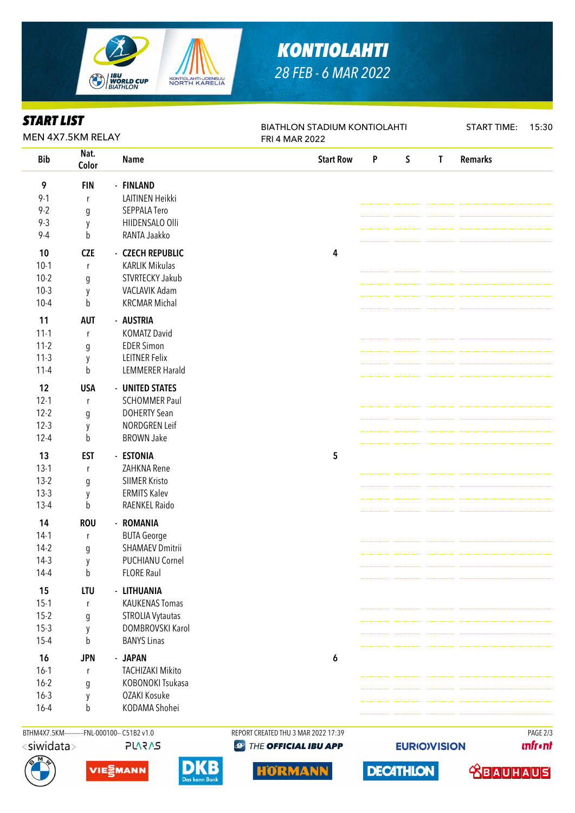

# *KONTIOLAHTI 28 FEB - 6 MAR 2022*

| Nat.<br><b>Bib</b><br>$\mathsf S$<br><b>Remarks</b><br><b>Start Row</b><br>P<br>T<br><b>Name</b><br>Color<br>9<br><b>FIN</b><br>- FINLAND<br>$9 - 1$<br>LAITINEN Heikki<br>$\mathsf{r}$<br>$9 - 2$<br>SEPPALA Tero<br>$\boldsymbol{g}$<br>$9 - 3$<br>HIIDENSALO Olli<br>y<br>$9 - 4$<br>b<br>RANTA Jaakko<br><b>CZE</b><br>10<br>- CZECH REPUBLIC<br>4<br>$10-1$<br><b>KARLIK Mikulas</b><br>$\mathsf{r}$<br>$10-2$<br>STVRTECKY Jakub<br>g<br>$10-3$<br>VACLAVIK Adam<br>y<br><b>KRCMAR Michal</b><br>$10 - 4$<br>b<br>11<br><b>AUT</b><br>- AUSTRIA<br>$11 - 1$<br><b>KOMATZ David</b><br>$\mathsf{r}$<br>$11-2$<br><b>EDER Simon</b><br>$\boldsymbol{g}$<br>$11-3$<br><b>LEITNER Felix</b><br>y<br>$11 - 4$<br>b<br><b>LEMMERER Harald</b><br>12<br><b>USA</b><br>- UNITED STATES<br>$12 - 1$<br><b>SCHOMMER Paul</b><br>$\mathsf{r}$<br>$12 - 2$<br><b>DOHERTY Sean</b><br>$\boldsymbol{g}$<br>$12-3$<br>NORDGREN Leif<br>y<br>$12 - 4$<br><b>BROWN Jake</b><br>b<br>13<br><b>EST</b><br>- ESTONIA<br>5<br>$13-1$<br>ZAHKNA Rene<br>$\mathsf r$<br>$13-2$<br><b>SIIMER Kristo</b><br>g<br>$13-3$<br><b>ERMITS Kalev</b><br>y<br>RAENKEL Raido<br>$13 - 4$<br>b<br>14<br><b>ROU</b><br>- ROMANIA<br>$14-1$<br><b>BUTA George</b><br>$\mathsf r$<br>$14-2$<br><b>SHAMAEV Dmitrii</b><br>g<br>PUCHIANU Cornel<br>$14-3$<br>y<br>$14 - 4$<br><b>FLORE Raul</b><br>b<br>15<br>LTU<br>- LITHUANIA<br>$15-1$<br><b>KAUKENAS Tomas</b><br>$\mathsf{r}$<br>$15-2$<br>STROLIA Vytautas<br>g<br>$15-3$<br>DOMBROVSKI Karol<br>y<br>$15 - 4$<br><b>BANYS Linas</b><br>b<br>16<br><b>JPN</b><br>- JAPAN<br>$\pmb{6}$<br>$16-1$<br><b>TACHIZAKI Mikito</b><br>r<br>$16 - 2$<br>KOBONOKI Tsukasa<br>g<br>$16 - 3$<br>OZAKI Kosuke<br>y<br>KODAMA Shohei<br>$16 - 4$<br>b | <b>START LIST</b><br>MEN 4X7.5KM RELAY |  |  | <b>BIATHLON STADIUM KONTIOLAHTI</b><br>FRI 4 MAR 2022 | <b>START TIME:</b> | 15:30 |  |  |
|---------------------------------------------------------------------------------------------------------------------------------------------------------------------------------------------------------------------------------------------------------------------------------------------------------------------------------------------------------------------------------------------------------------------------------------------------------------------------------------------------------------------------------------------------------------------------------------------------------------------------------------------------------------------------------------------------------------------------------------------------------------------------------------------------------------------------------------------------------------------------------------------------------------------------------------------------------------------------------------------------------------------------------------------------------------------------------------------------------------------------------------------------------------------------------------------------------------------------------------------------------------------------------------------------------------------------------------------------------------------------------------------------------------------------------------------------------------------------------------------------------------------------------------------------------------------------------------------------------------------------------------------------------------------------------------------------------------------------------------------------------------|----------------------------------------|--|--|-------------------------------------------------------|--------------------|-------|--|--|
|                                                                                                                                                                                                                                                                                                                                                                                                                                                                                                                                                                                                                                                                                                                                                                                                                                                                                                                                                                                                                                                                                                                                                                                                                                                                                                                                                                                                                                                                                                                                                                                                                                                                                                                                                               |                                        |  |  |                                                       |                    |       |  |  |
|                                                                                                                                                                                                                                                                                                                                                                                                                                                                                                                                                                                                                                                                                                                                                                                                                                                                                                                                                                                                                                                                                                                                                                                                                                                                                                                                                                                                                                                                                                                                                                                                                                                                                                                                                               |                                        |  |  |                                                       |                    |       |  |  |
|                                                                                                                                                                                                                                                                                                                                                                                                                                                                                                                                                                                                                                                                                                                                                                                                                                                                                                                                                                                                                                                                                                                                                                                                                                                                                                                                                                                                                                                                                                                                                                                                                                                                                                                                                               |                                        |  |  |                                                       |                    |       |  |  |
|                                                                                                                                                                                                                                                                                                                                                                                                                                                                                                                                                                                                                                                                                                                                                                                                                                                                                                                                                                                                                                                                                                                                                                                                                                                                                                                                                                                                                                                                                                                                                                                                                                                                                                                                                               |                                        |  |  |                                                       |                    |       |  |  |
|                                                                                                                                                                                                                                                                                                                                                                                                                                                                                                                                                                                                                                                                                                                                                                                                                                                                                                                                                                                                                                                                                                                                                                                                                                                                                                                                                                                                                                                                                                                                                                                                                                                                                                                                                               |                                        |  |  |                                                       |                    |       |  |  |
|                                                                                                                                                                                                                                                                                                                                                                                                                                                                                                                                                                                                                                                                                                                                                                                                                                                                                                                                                                                                                                                                                                                                                                                                                                                                                                                                                                                                                                                                                                                                                                                                                                                                                                                                                               |                                        |  |  |                                                       |                    |       |  |  |
|                                                                                                                                                                                                                                                                                                                                                                                                                                                                                                                                                                                                                                                                                                                                                                                                                                                                                                                                                                                                                                                                                                                                                                                                                                                                                                                                                                                                                                                                                                                                                                                                                                                                                                                                                               |                                        |  |  |                                                       |                    |       |  |  |
|                                                                                                                                                                                                                                                                                                                                                                                                                                                                                                                                                                                                                                                                                                                                                                                                                                                                                                                                                                                                                                                                                                                                                                                                                                                                                                                                                                                                                                                                                                                                                                                                                                                                                                                                                               |                                        |  |  |                                                       |                    |       |  |  |
|                                                                                                                                                                                                                                                                                                                                                                                                                                                                                                                                                                                                                                                                                                                                                                                                                                                                                                                                                                                                                                                                                                                                                                                                                                                                                                                                                                                                                                                                                                                                                                                                                                                                                                                                                               |                                        |  |  |                                                       |                    |       |  |  |
|                                                                                                                                                                                                                                                                                                                                                                                                                                                                                                                                                                                                                                                                                                                                                                                                                                                                                                                                                                                                                                                                                                                                                                                                                                                                                                                                                                                                                                                                                                                                                                                                                                                                                                                                                               |                                        |  |  |                                                       |                    |       |  |  |
|                                                                                                                                                                                                                                                                                                                                                                                                                                                                                                                                                                                                                                                                                                                                                                                                                                                                                                                                                                                                                                                                                                                                                                                                                                                                                                                                                                                                                                                                                                                                                                                                                                                                                                                                                               |                                        |  |  |                                                       |                    |       |  |  |
|                                                                                                                                                                                                                                                                                                                                                                                                                                                                                                                                                                                                                                                                                                                                                                                                                                                                                                                                                                                                                                                                                                                                                                                                                                                                                                                                                                                                                                                                                                                                                                                                                                                                                                                                                               |                                        |  |  |                                                       |                    |       |  |  |
|                                                                                                                                                                                                                                                                                                                                                                                                                                                                                                                                                                                                                                                                                                                                                                                                                                                                                                                                                                                                                                                                                                                                                                                                                                                                                                                                                                                                                                                                                                                                                                                                                                                                                                                                                               |                                        |  |  |                                                       |                    |       |  |  |
|                                                                                                                                                                                                                                                                                                                                                                                                                                                                                                                                                                                                                                                                                                                                                                                                                                                                                                                                                                                                                                                                                                                                                                                                                                                                                                                                                                                                                                                                                                                                                                                                                                                                                                                                                               |                                        |  |  |                                                       |                    |       |  |  |
|                                                                                                                                                                                                                                                                                                                                                                                                                                                                                                                                                                                                                                                                                                                                                                                                                                                                                                                                                                                                                                                                                                                                                                                                                                                                                                                                                                                                                                                                                                                                                                                                                                                                                                                                                               |                                        |  |  |                                                       |                    |       |  |  |
|                                                                                                                                                                                                                                                                                                                                                                                                                                                                                                                                                                                                                                                                                                                                                                                                                                                                                                                                                                                                                                                                                                                                                                                                                                                                                                                                                                                                                                                                                                                                                                                                                                                                                                                                                               |                                        |  |  |                                                       |                    |       |  |  |
|                                                                                                                                                                                                                                                                                                                                                                                                                                                                                                                                                                                                                                                                                                                                                                                                                                                                                                                                                                                                                                                                                                                                                                                                                                                                                                                                                                                                                                                                                                                                                                                                                                                                                                                                                               |                                        |  |  |                                                       |                    |       |  |  |
|                                                                                                                                                                                                                                                                                                                                                                                                                                                                                                                                                                                                                                                                                                                                                                                                                                                                                                                                                                                                                                                                                                                                                                                                                                                                                                                                                                                                                                                                                                                                                                                                                                                                                                                                                               |                                        |  |  |                                                       |                    |       |  |  |
|                                                                                                                                                                                                                                                                                                                                                                                                                                                                                                                                                                                                                                                                                                                                                                                                                                                                                                                                                                                                                                                                                                                                                                                                                                                                                                                                                                                                                                                                                                                                                                                                                                                                                                                                                               |                                        |  |  |                                                       |                    |       |  |  |
|                                                                                                                                                                                                                                                                                                                                                                                                                                                                                                                                                                                                                                                                                                                                                                                                                                                                                                                                                                                                                                                                                                                                                                                                                                                                                                                                                                                                                                                                                                                                                                                                                                                                                                                                                               |                                        |  |  |                                                       |                    |       |  |  |
|                                                                                                                                                                                                                                                                                                                                                                                                                                                                                                                                                                                                                                                                                                                                                                                                                                                                                                                                                                                                                                                                                                                                                                                                                                                                                                                                                                                                                                                                                                                                                                                                                                                                                                                                                               |                                        |  |  |                                                       |                    |       |  |  |
|                                                                                                                                                                                                                                                                                                                                                                                                                                                                                                                                                                                                                                                                                                                                                                                                                                                                                                                                                                                                                                                                                                                                                                                                                                                                                                                                                                                                                                                                                                                                                                                                                                                                                                                                                               |                                        |  |  |                                                       |                    |       |  |  |
|                                                                                                                                                                                                                                                                                                                                                                                                                                                                                                                                                                                                                                                                                                                                                                                                                                                                                                                                                                                                                                                                                                                                                                                                                                                                                                                                                                                                                                                                                                                                                                                                                                                                                                                                                               |                                        |  |  |                                                       |                    |       |  |  |
|                                                                                                                                                                                                                                                                                                                                                                                                                                                                                                                                                                                                                                                                                                                                                                                                                                                                                                                                                                                                                                                                                                                                                                                                                                                                                                                                                                                                                                                                                                                                                                                                                                                                                                                                                               |                                        |  |  |                                                       |                    |       |  |  |
|                                                                                                                                                                                                                                                                                                                                                                                                                                                                                                                                                                                                                                                                                                                                                                                                                                                                                                                                                                                                                                                                                                                                                                                                                                                                                                                                                                                                                                                                                                                                                                                                                                                                                                                                                               |                                        |  |  |                                                       |                    |       |  |  |
|                                                                                                                                                                                                                                                                                                                                                                                                                                                                                                                                                                                                                                                                                                                                                                                                                                                                                                                                                                                                                                                                                                                                                                                                                                                                                                                                                                                                                                                                                                                                                                                                                                                                                                                                                               |                                        |  |  |                                                       |                    |       |  |  |
|                                                                                                                                                                                                                                                                                                                                                                                                                                                                                                                                                                                                                                                                                                                                                                                                                                                                                                                                                                                                                                                                                                                                                                                                                                                                                                                                                                                                                                                                                                                                                                                                                                                                                                                                                               |                                        |  |  |                                                       |                    |       |  |  |
|                                                                                                                                                                                                                                                                                                                                                                                                                                                                                                                                                                                                                                                                                                                                                                                                                                                                                                                                                                                                                                                                                                                                                                                                                                                                                                                                                                                                                                                                                                                                                                                                                                                                                                                                                               |                                        |  |  |                                                       |                    |       |  |  |
|                                                                                                                                                                                                                                                                                                                                                                                                                                                                                                                                                                                                                                                                                                                                                                                                                                                                                                                                                                                                                                                                                                                                                                                                                                                                                                                                                                                                                                                                                                                                                                                                                                                                                                                                                               |                                        |  |  |                                                       |                    |       |  |  |
|                                                                                                                                                                                                                                                                                                                                                                                                                                                                                                                                                                                                                                                                                                                                                                                                                                                                                                                                                                                                                                                                                                                                                                                                                                                                                                                                                                                                                                                                                                                                                                                                                                                                                                                                                               |                                        |  |  |                                                       |                    |       |  |  |
|                                                                                                                                                                                                                                                                                                                                                                                                                                                                                                                                                                                                                                                                                                                                                                                                                                                                                                                                                                                                                                                                                                                                                                                                                                                                                                                                                                                                                                                                                                                                                                                                                                                                                                                                                               |                                        |  |  |                                                       |                    |       |  |  |
|                                                                                                                                                                                                                                                                                                                                                                                                                                                                                                                                                                                                                                                                                                                                                                                                                                                                                                                                                                                                                                                                                                                                                                                                                                                                                                                                                                                                                                                                                                                                                                                                                                                                                                                                                               |                                        |  |  |                                                       |                    |       |  |  |
|                                                                                                                                                                                                                                                                                                                                                                                                                                                                                                                                                                                                                                                                                                                                                                                                                                                                                                                                                                                                                                                                                                                                                                                                                                                                                                                                                                                                                                                                                                                                                                                                                                                                                                                                                               |                                        |  |  |                                                       |                    |       |  |  |
|                                                                                                                                                                                                                                                                                                                                                                                                                                                                                                                                                                                                                                                                                                                                                                                                                                                                                                                                                                                                                                                                                                                                                                                                                                                                                                                                                                                                                                                                                                                                                                                                                                                                                                                                                               |                                        |  |  |                                                       |                    |       |  |  |
|                                                                                                                                                                                                                                                                                                                                                                                                                                                                                                                                                                                                                                                                                                                                                                                                                                                                                                                                                                                                                                                                                                                                                                                                                                                                                                                                                                                                                                                                                                                                                                                                                                                                                                                                                               |                                        |  |  |                                                       |                    |       |  |  |
|                                                                                                                                                                                                                                                                                                                                                                                                                                                                                                                                                                                                                                                                                                                                                                                                                                                                                                                                                                                                                                                                                                                                                                                                                                                                                                                                                                                                                                                                                                                                                                                                                                                                                                                                                               |                                        |  |  |                                                       |                    |       |  |  |
|                                                                                                                                                                                                                                                                                                                                                                                                                                                                                                                                                                                                                                                                                                                                                                                                                                                                                                                                                                                                                                                                                                                                                                                                                                                                                                                                                                                                                                                                                                                                                                                                                                                                                                                                                               |                                        |  |  |                                                       |                    |       |  |  |
|                                                                                                                                                                                                                                                                                                                                                                                                                                                                                                                                                                                                                                                                                                                                                                                                                                                                                                                                                                                                                                                                                                                                                                                                                                                                                                                                                                                                                                                                                                                                                                                                                                                                                                                                                               |                                        |  |  |                                                       |                    |       |  |  |
|                                                                                                                                                                                                                                                                                                                                                                                                                                                                                                                                                                                                                                                                                                                                                                                                                                                                                                                                                                                                                                                                                                                                                                                                                                                                                                                                                                                                                                                                                                                                                                                                                                                                                                                                                               |                                        |  |  |                                                       |                    |       |  |  |
|                                                                                                                                                                                                                                                                                                                                                                                                                                                                                                                                                                                                                                                                                                                                                                                                                                                                                                                                                                                                                                                                                                                                                                                                                                                                                                                                                                                                                                                                                                                                                                                                                                                                                                                                                               |                                        |  |  |                                                       |                    |       |  |  |
|                                                                                                                                                                                                                                                                                                                                                                                                                                                                                                                                                                                                                                                                                                                                                                                                                                                                                                                                                                                                                                                                                                                                                                                                                                                                                                                                                                                                                                                                                                                                                                                                                                                                                                                                                               |                                        |  |  |                                                       |                    |       |  |  |



**PLARAS** 









**EURIO)VISION** 

**unfront**